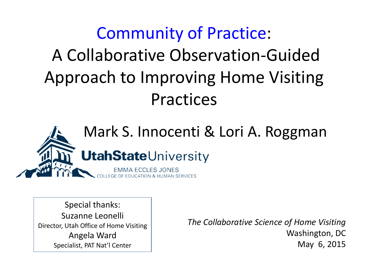### Community of Practice: A Collaborative Observation-Guided Approach to Improving Home Visiting Practices



Special thanks: Suzanne Leonelli Director, Utah Office of Home Visiting Angela Ward Specialist, PAT Nat'l Center

*The Collaborative Science of Home Visiting* Washington, DC May 6, 2015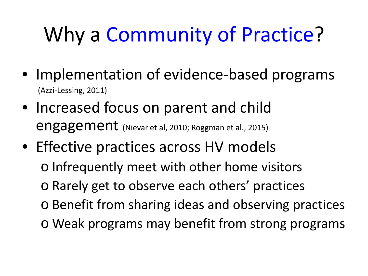# Why a Community of Practice?

- Implementation of evidence-based programs<br>(Azzi-Lessing, 2011)
- Increased focus on parent and child engagement (Nievar et al, 2010; Roggman et al., 2015)
- Effective practices across HV models o Infrequently meet with other home visitors o Rarely get to observe each others' practices o Benefit from sharing ideas and observing practices o Weak programs may benefit from strong programs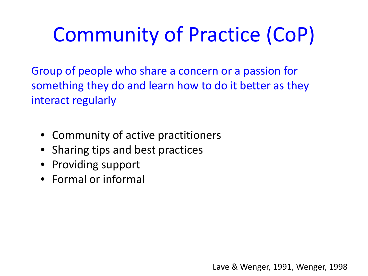# Community of Practice (CoP)

Group of people who share a concern or a passion for something they do and learn how to do it better as they interact regularly

- Community of active practitioners
- Sharing tips and best practices
- Providing support
- Formal or informal

Lave & Wenger, 1991, Wenger, 1998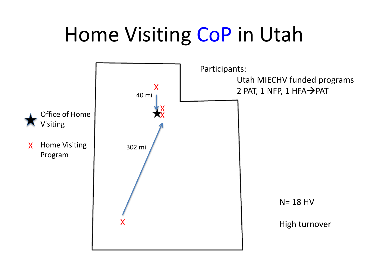## Home Visiting CoP in Utah

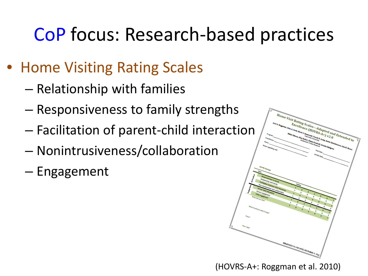### CoP focus: Research-based practices

- Home Visiting Rating Scales
	- Relationship with families
	- Responsiveness to family strengths
	- Facilitation of parent-child interaction
	- Nonintrusiveness/collaboration
	- Engagement



(HOVRS-A+: Roggman et al. 2010)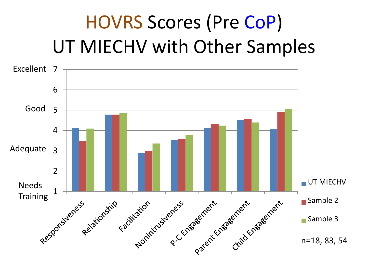### HOVRS Scores (Pre CoP) UT MIECHV with Other Samples

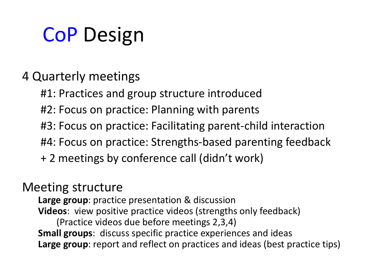# CoP Design

### 4 Quarterly meetings

- #1: Practices and group structure introduced
- #2: Focus on practice: Planning with parents
- #3: Focus on practice: Facilitating parent-child interaction
- #4: Focus on practice: Strengths-based parenting feedback
- + 2 meetings by conference call (didn't work)

### Meeting structure

**Large group**: practice presentation & discussion **Videos**: view positive practice videos (strengths only feedback) (Practice videos due before meetings 2,3,4) **Small groups**: discuss specific practice experiences and ideas **Large group**: report and reflect on practices and ideas (best practice tips)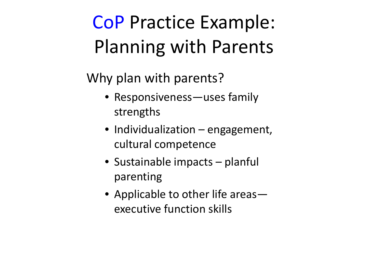### CoP Practice Example: Planning with Parents

### Why plan with parents?

- Responsiveness—uses family strengths
- Individualization engagement, cultural competence
- Sustainable impacts planful parenting
- Applicable to other life areas executive function skills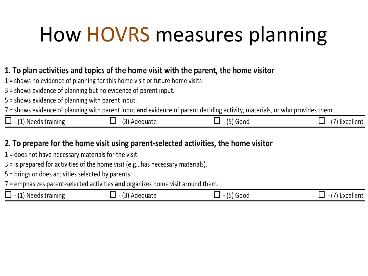# How HOVRS measures planning

#### 1. To plan activities and topics of the home visit with the parent, the home visitor

- $1 =$  shows no evidence of planning for this home visit or future home visits
- 3 = shows evidence of planning but no evidence of parent input.
- 5 = shows evidence of planning with parent input.

7 = shows evidence of planning with parent input and evidence of parent deciding activity, materials, or who provides them.

| (1) Needs training<br>▔▀▀▀ <sup>▗▁▏▁▗▁▏<sub>▛</sub>▁</sup> | $\sim$<br>'Adequate | Good | Excellen <sup>.</sup> |
|------------------------------------------------------------|---------------------|------|-----------------------|
|------------------------------------------------------------|---------------------|------|-----------------------|

#### 2. To prepare for the home visit using parent-selected activities, the home visitor

- $1 =$  does not have necessary materials for the visit.
- $3 =$  is prepared for activities of the home visit (e.g., has necessary materials).
- 5 = brings or does activities selected by parents.
- 7 = emphasizes parent-selected activities and organizes home visit around them.

| _<br>$\overline{A}$<br>-<br>Needs training<br>Adequate<br>000b<br>$\overline{a}$<br>$\overline{\phantom{a}}$<br>___ | Excellent |
|---------------------------------------------------------------------------------------------------------------------|-----------|
|---------------------------------------------------------------------------------------------------------------------|-----------|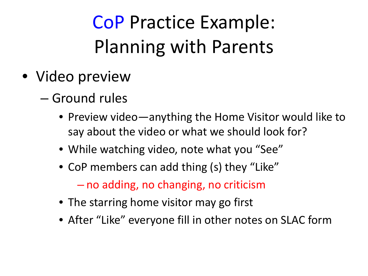### CoP Practice Example: Planning with Parents

- Video preview
	- Ground rules
		- Preview video—anything the Home Visitor would like to say about the video or what we should look for?
		- While watching video, note what you "See"
		- CoP members can add thing (s) they "Like" – no adding, no changing, no criticism
		- The starring home visitor may go first
		- After "Like" everyone fill in other notes on SLAC form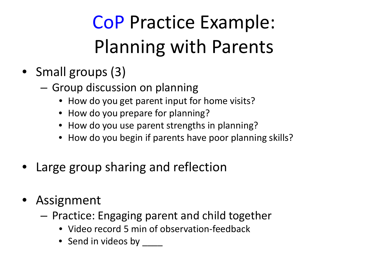## CoP Practice Example: Planning with Parents

- Small groups (3)
	- Group discussion on planning
		- How do you get parent input for home visits?
		- How do you prepare for planning?
		- How do you use parent strengths in planning?
		- How do you begin if parents have poor planning skills?
- Large group sharing and reflection
- Assignment
	- Practice: Engaging parent and child together
		- Video record 5 min of observation-feedback
		- Send in videos by \_\_\_\_\_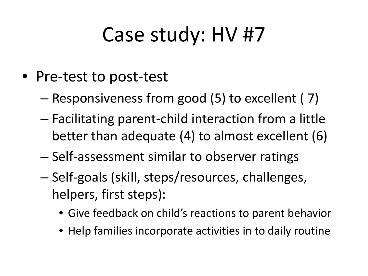### Case study: HV #7

- Pre-test to post-test
	- Responsiveness from good (5) to excellent ( 7)
	- Facilitating parent-child interaction from a little better than adequate (4) to almost excellent (6)
	- Self-assessment similar to observer ratings
	- Self-goals (skill, steps/resources, challenges, helpers, first steps):
		- Give feedback on child's reactions to parent behavior
		- Help families incorporate activities in to daily routine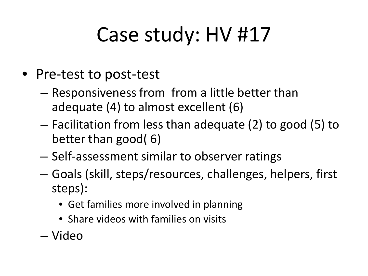## Case study: HV #17

- Pre-test to post-test
	- Responsiveness from from a little better than adequate (4) to almost excellent (6)
	- Facilitation from less than adequate (2) to good (5) to better than good( 6)
	- Self-assessment similar to observer ratings
	- Goals (skill, steps/resources, challenges, helpers, first steps):
		- Get families more involved in planning
		- Share videos with families on visits
	- Video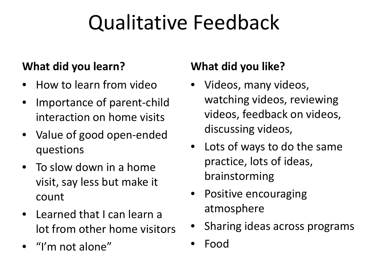## Qualitative Feedback

### **What did you learn?**

- How to learn from video
- Importance of parent-child interaction on home visits
- Value of good open-ended questions
- To slow down in a home visit, say less but make it count
- Learned that I can learn a lot from other home visitors
- "I'm not alone"

### **What did you like?**

- Videos, many videos, watching videos, reviewing videos, feedback on videos, discussing videos,
- Lots of ways to do the same practice, lots of ideas, brainstorming
- Positive encouraging atmosphere
- Sharing ideas across programs
- Food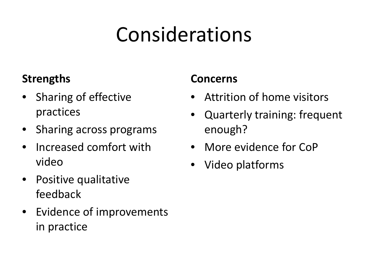# Considerations

### **Strengths**

- Sharing of effective practices
- Sharing across programs
- Increased comfort with video
- Positive qualitative feedback
- Evidence of improvements in practice

### **Concerns**

- Attrition of home visitors
- Quarterly training: frequent enough?
- More evidence for CoP
- Video platforms